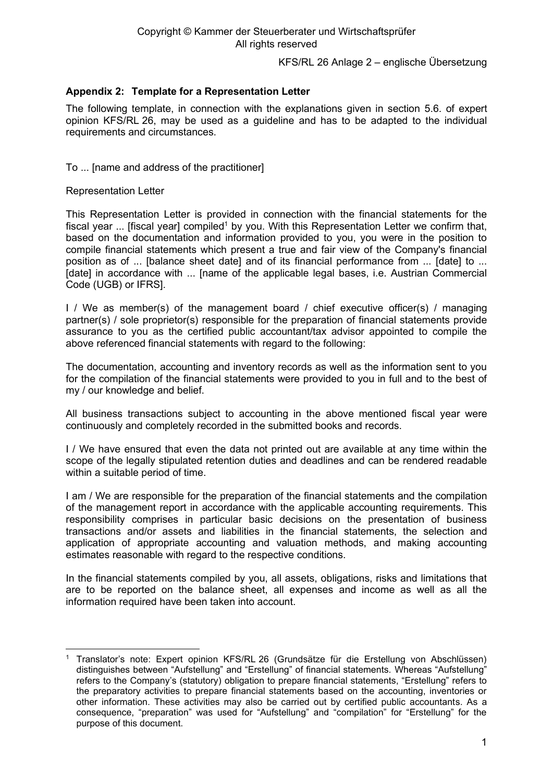KFS/RL 26 Anlage 2 – englische Übersetzung

## **Appendix 2: Template for a Representation Letter**

The following template, in connection with the explanations given in section 5.6. of expert opinion KFS/RL 26, may be used as a guideline and has to be adapted to the individual requirements and circumstances.

To ... [name and address of the practitioner]

Representation Letter

This Representation Letter is provided in connection with the financial statements for the fiscal year ... [fiscal year] compiled<sup>1</sup> by you. With this Representation Letter we confirm that, based on the documentation and information provided to you, you were in the position to compile financial statements which present a true and fair view of the Company's financial position as of ... [balance sheet date] and of its financial performance from ... [date] to ... [date] in accordance with ... [name of the applicable legal bases, i.e. Austrian Commercial Code (UGB) or IFRS].

I / We as member(s) of the management board / chief executive officer(s) / managing partner(s) / sole proprietor(s) responsible for the preparation of financial statements provide assurance to you as the certified public accountant/tax advisor appointed to compile the above referenced financial statements with regard to the following:

The documentation, accounting and inventory records as well as the information sent to you for the compilation of the financial statements were provided to you in full and to the best of my / our knowledge and belief.

All business transactions subject to accounting in the above mentioned fiscal year were continuously and completely recorded in the submitted books and records.

I / We have ensured that even the data not printed out are available at any time within the scope of the legally stipulated retention duties and deadlines and can be rendered readable within a suitable period of time.

I am / We are responsible for the preparation of the financial statements and the compilation of the management report in accordance with the applicable accounting requirements. This responsibility comprises in particular basic decisions on the presentation of business transactions and/or assets and liabilities in the financial statements, the selection and application of appropriate accounting and valuation methods, and making accounting estimates reasonable with regard to the respective conditions.

In the financial statements compiled by you, all assets, obligations, risks and limitations that are to be reported on the balance sheet, all expenses and income as well as all the information required have been taken into account.

<sup>1</sup> Translator's note: Expert opinion KFS/RL 26 (Grundsätze für die Erstellung von Abschlüssen) distinguishes between "Aufstellung" and "Erstellung" of financial statements. Whereas "Aufstellung" refers to the Company's (statutory) obligation to prepare financial statements, "Erstellung" refers to the preparatory activities to prepare financial statements based on the accounting, inventories or other information. These activities may also be carried out by certified public accountants. As a consequence, "preparation" was used for "Aufstellung" and "compilation" for "Erstellung" for the purpose of this document.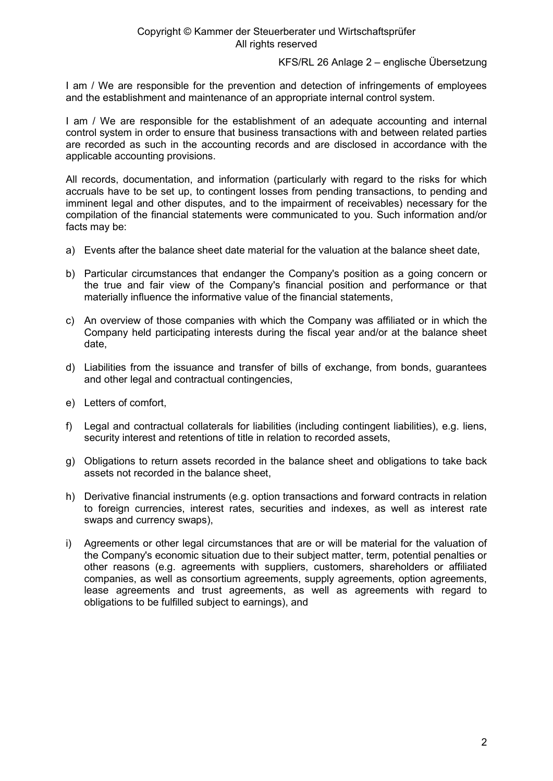## Copyright © Kammer der Steuerberater und Wirtschaftsprüfer All rights reserved

KFS/RL 26 Anlage 2 – englische Übersetzung

I am / We are responsible for the prevention and detection of infringements of employees and the establishment and maintenance of an appropriate internal control system.

I am / We are responsible for the establishment of an adequate accounting and internal control system in order to ensure that business transactions with and between related parties are recorded as such in the accounting records and are disclosed in accordance with the applicable accounting provisions.

All records, documentation, and information (particularly with regard to the risks for which accruals have to be set up, to contingent losses from pending transactions, to pending and imminent legal and other disputes, and to the impairment of receivables) necessary for the compilation of the financial statements were communicated to you. Such information and/or facts may be:

- a) Events after the balance sheet date material for the valuation at the balance sheet date,
- b) Particular circumstances that endanger the Company's position as a going concern or the true and fair view of the Company's financial position and performance or that materially influence the informative value of the financial statements,
- c) An overview of those companies with which the Company was affiliated or in which the Company held participating interests during the fiscal year and/or at the balance sheet date,
- d) Liabilities from the issuance and transfer of bills of exchange, from bonds, guarantees and other legal and contractual contingencies,
- e) Letters of comfort,
- f) Legal and contractual collaterals for liabilities (including contingent liabilities), e.g. liens, security interest and retentions of title in relation to recorded assets,
- g) Obligations to return assets recorded in the balance sheet and obligations to take back assets not recorded in the balance sheet,
- h) Derivative financial instruments (e.g. option transactions and forward contracts in relation to foreign currencies, interest rates, securities and indexes, as well as interest rate swaps and currency swaps),
- i) Agreements or other legal circumstances that are or will be material for the valuation of the Company's economic situation due to their subject matter, term, potential penalties or other reasons (e.g. agreements with suppliers, customers, shareholders or affiliated companies, as well as consortium agreements, supply agreements, option agreements, lease agreements and trust agreements, as well as agreements with regard to obligations to be fulfilled subject to earnings), and